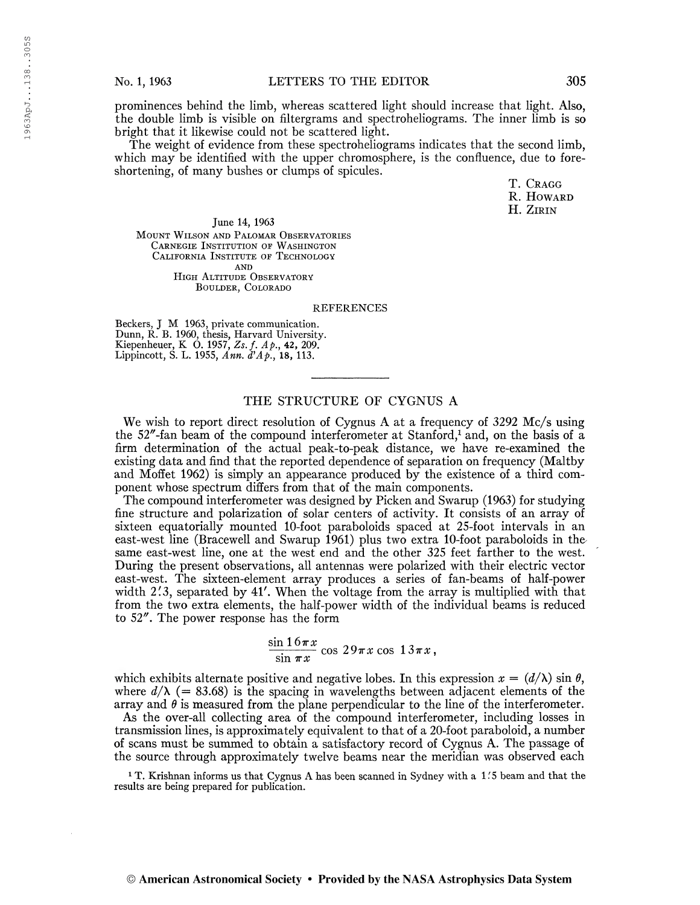prominences behind the limb, whereas scattered light should increase that light. Also, the double limb is visible on filtergrams and spectroheliograms. The inner limb is so bright that it likewise could not be scattered light.

The weight of evidence from these spectroheliograms indicates that the second limb, which may be identified with the upper chromosphere, is the confluence, due to foreshortening, of many bushes or clumps of spicules.

> T. CRAGG R. Howard H. Zirin

June 14, 1963 Mount Wilson and Palomar Observatories Carnegie Institution of Washington California Institute of Technology **AND** HIGH ALTITUDE OBSERVATORY Boulder, Colorado

## REFERENCES

Beckers, J M 1963, private communication. Dunn, R. B. 1960, thesis, Harvard University. Kiepenheuer, K O. 1957, Zs. f. Ap., 42, 209. Lippincott, S. L. 1955, Ann. d'Ap., 18, 113.

## THE STRUCTURE OF CYGNUS A

We wish to report direct resolution of Cygnus A at a frequency of 3292 Mc/s using the 52"-fan beam of the compound interferometer at Stanford,<sup>1</sup> and, on the basis of a firm determination of the actual peak-to-peak distance, we have re-examined the existing data and find that the reported dependence of separation on frequency (Maltby and Moffet 1962) is simply an appearance produced by the existence of a third component whose spectrum differs from that of the main components.

The compound interferometer was designed by Picken and Swamp (1963) for studying fine structure and polarization of solar centers of activity. It consists of an array of sixteen equatorially mounted 10-foot paraboloids spaced at 25-foot intervals in an east-west line (Bracewell and Swamp 1961) plus two extra 10-foot paraboloids in thesame east-west line, one at the west end and the other 325 feet farther to the west. During the present observations, all antennas were polarized with their electric vector east-west. The sixteen-element array produces a series of fan-beams of half-power width 2.3, separated by 41'. When the voltage from the array is multiplied with that from the two extra elements, the half-power width of the individual beams is reduced to 52". The power response has the form

> $\sin 16\pi x$  $\frac{1}{\sin \pi x}$  cos  $29\pi x$  cos  $13\pi x$ ,

which exhibits alternate positive and negative lobes. In this expression  $x = (d/\lambda) \sin \theta$ , where  $d/\lambda$  (= 83.68) is the spacing in wavelengths between adjacent elements of the array and  $\theta$  is measured from the plane perpendicular to the line of the interferometer.

As the over-all collecting area of the compound interferometer, including losses in transmission lines, is approximately equivalent to that of a 20-foot paraboloid, a number of scans must be summed to obtain a satisfactory record of Cygnus A. The passage of the source through approximately twelve beams near the meridian was observed each

<sup>1</sup> T. Krishnan informs us that Cygnus A has been scanned in Sydney with a 1.5 beam and that the results are being prepared for publication.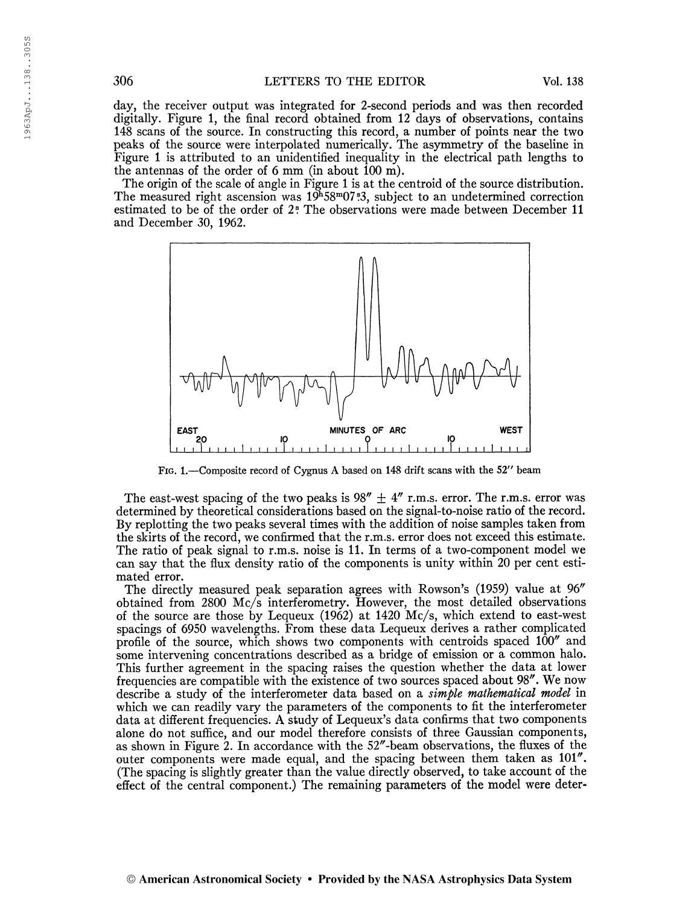day, the receiver output was integrated for 2-second periods and was then recorded digitally. Figure 1, the final record obtained from 12 days of observations, contains 148 scans of the source. In constructing this record, a number of points near the two peaks of the source were interpolated numerically. The asymmetry of the baseline in Figure <sup>1</sup> is attributed to an unidentified inequality in the electrical path lengths to the antennas of the order of 6 mm (in about 100 m).

The origin of the scale of angle in Figure <sup>1</sup> is at the centroid of the source distribution. The measured right ascension was  $19^{h}58^{m}07$ .<sup>83</sup>, subject to an undetermined correction estimated to be of the order of 2? The observations were made between December 11 and December 30, 1962.



Fig. 1.—Composite record of Cygnus A based on 148 drift scans with the 52" beam

The east-west spacing of the two peaks is  $98'' \pm 4''$  r.m.s. error. The r.m.s. error was determined by theoretical considerations based on the signal-to-noise ratio of the record. By replotting the two peaks several times with the addition of noise samples taken from the skirts of the record, we confirmed that the r.m.s. error does not exceed this estimate. The ratio of peak signal to r.m.s. noise is 11. In terms of a two-component model we can say that the flux density ratio of the components is unity within 20 per cent estimated error.

The directly measured peak separation agrees with Rowson's (1959) value at 96" obtained from 2800 Mc/s interferometry. However, the most detailed observations of the source are those by Lequeux (1962) at 1420 Mc/s, which extend to east-west spacings of 6950 wavelengths. From these data Lequeux derives a rather complicated profile of the source, which shows two components with centroids spaced 100" and some intervening concentrations described as a bridge of emission or a common halo. This further agreement in the spacing raises the question whether the data at lower frequencies are compatible with the existence of two sources spaced about 98". We now describe a study of the interferometer data based on a *simple mathematical model* in which we can readily vary the parameters of the components to fit the interferometer data at different frequencies. A study of Lequeux's data confirms that two components alone do not suffice, and our model therefore consists of three Gaussian components, as shown in Figure 2. In accordance with the 52"-beam observations, the fluxes of the outer components were made equal, and the spacing between them taken as 101". (The spacing is slightly greater than the value directly observed, to take account of the effect of the central component.) The remaining parameters of the model were deter-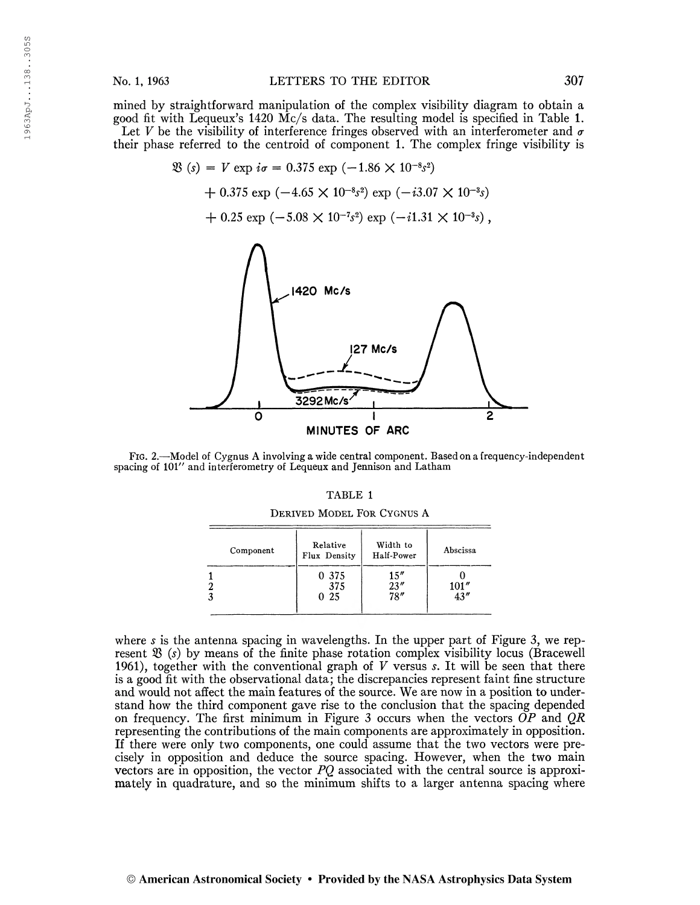$$
\mathfrak{B}(s) = V \exp i\sigma = 0.375 \exp (-1.86 \times 10^{-8} s^2) \n+ 0.375 \exp (-4.65 \times 10^{-8} s^2) \exp (-i3.07 \times 10^{-3} s) \n+ 0.25 \exp (-5.08 \times 10^{-7} s^2) \exp (-i1.31 \times 10^{-3} s) ,
$$



Fig. 2.—Model of Cygnus A involving a wide central component. Based on a frequency-independent spacing of lOl" and interferometry of Lequeux and Jennison and Latham

| a sa |  |
|------|--|
|------|--|

Derived Model For Cygnus A

| Component | Relative<br>Flux Density | Width to<br>Half-Power      | Abscissa      |
|-----------|--------------------------|-----------------------------|---------------|
|           | 0 375<br>375<br>025      | 15''<br>$\frac{23''}{78''}$ | 101''<br>43'' |

where s is the antenna spacing in wavelengths. In the upper part of Figure 3, we represent  $\mathfrak{B}(s)$  by means of the finite phase rotation complex visibility locus (Bracewell 1961), together with the conventional graph of  $V$  versus  $s$ . It will be seen that there is a good fit with the observational data; the discrepancies represent faint fine structure and would not affect the main features of the source. We are now in a position to understand how the third component gave rise to the conclusion that the spacing depended on frequency. The first minimum in Figure 3 occurs when the vectors  $\overrightarrow{OP}$  and  $\overrightarrow{QR}$ representing the contributions of the main components are approximately in opposition. If there were only two components, one could assume that the two vectors were precisely in opposition and deduce the source spacing. However, when the two main vectors are in opposition, the vector  $PQ$  associated with the central source is approximately in quadrature, and so the minimum shifts to a larger antenna spacing where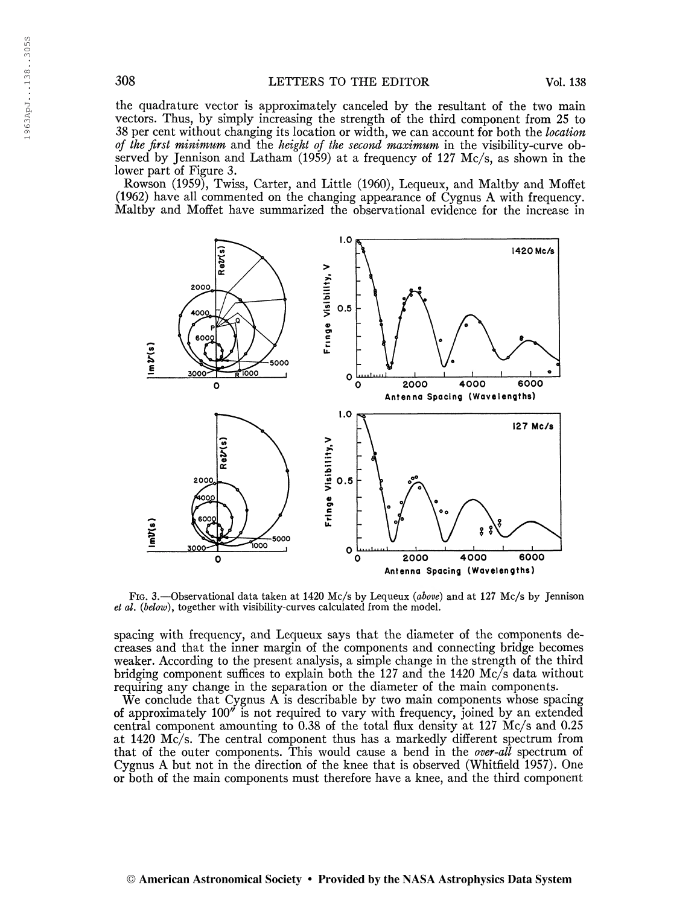the quadrature vector is approximately canceled by the resultant of the two main vectors. Thus, by simply increasing the strength of the third component from 25 to 38 per cent without changing its location or width, we can account for both the location of the first minimum and the height of the second maximum in the visibility-curve observed by Jennison and Latham  $(1959)$  at a frequency of 127 Mc/s, as shown in the lower part of Figure 3.

Rowson (1959), Twiss, Carter, and Little (1960), Lequeux, and Maltby and Hoffet (1962) have all commented on the changing appearance of Cygnus A with frequency. Maltby and Hoffet have summarized the observational evidence for the increase in



Fig. 3.—Observational data taken at 1420 Mc/s by Lequeux {above) and at 127 Mc/s by Jennison et al. (below), together with visibility-curves calculated from the model.

spacing with frequency, and Lequeux says that the diameter of the components decreases and that the inner margin of the components and connecting bridge becomes weaker. According to the present analysis, a simple change in the strength of the third bridging component suffices to explain both the 127 and the 1420 Mc/s data without requiring any change in the separation or the diameter of the main components.

We conclude that Cygnus A is describable by two main components whose spacing of approximately 100" is not required to vary with frequency, joined by an extended central component amounting to 0.38 of the total flux density at 127 Mc/s and 0.25 at 1420 Mc/s. The central component thus has a markedly different spectrum from that of the outer components. This would cause a bend in the over-all spectrum of Cygnus A but not in the direction of the knee that is observed (Whitfield 1957). One or both of the main components must therefore have a knee, and the third component